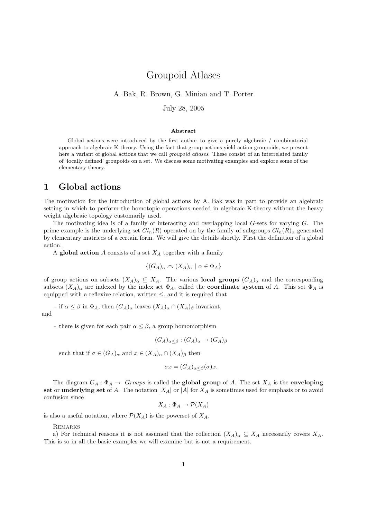# Groupoid Atlases

#### A. Bak, R. Brown, G. Minian and T. Porter

July 28, 2005

#### Abstract

Global actions were introduced by the first author to give a purely algebraic / combinatorial approach to algebraic K-theory. Using the fact that group actions yield action groupoids, we present here a variant of global actions that we call *groupoid atlases*. These consist of an interrelated family of 'locally defined' groupoids on a set. We discuss some motivating examples and explore some of the elementary theory.

## 1 Global actions

The motivation for the introduction of global actions by A. Bak was in part to provide an algebraic setting in which to perform the homotopic operations needed in algebraic K-theory without the heavy weight algebraic topology customarily used.

The motivating idea is of a family of interacting and overlapping local G-sets for varying G. The prime example is the underlying set  $Gl_n(R)$  operated on by the family of subgroups  $Gl_n(R)$ <sup> $\alpha$ </sup> generated by elementary matrices of a certain form. We will give the details shortly. First the definition of a global action.

A global action  $A$  consists of a set  $X_A$  together with a family

$$
\{(G_A)_{\alpha} \cap (X_A)_{\alpha} \mid \alpha \in \Phi_A\}
$$

of group actions on subsets  $(X_A)_\alpha \subseteq X_A$ . The various **local groups**  $(G_A)_\alpha$  and the corresponding subsets  $(X_A)_{\alpha}$  are indexed by the index set  $\Phi_A$ , called the **coordinate system** of A. This set  $\Phi_A$  is equipped with a reflexive relation, written  $\leq$ , and it is required that

- if  $\alpha \leq \beta$  in  $\Phi_A$ , then  $(G_A)_{\alpha}$  leaves  $(X_A)_{\alpha} \cap (X_A)_{\beta}$  invariant, and

- there is given for each pair  $\alpha \leq \beta$ , a group homomorphism

$$
(G_A)_{\alpha \le \beta} : (G_A)_{\alpha} \to (G_A)_{\beta}
$$

such that if  $\sigma \in (G_A)_{\alpha}$  and  $x \in (X_A)_{\alpha} \cap (X_A)_{\beta}$  then

$$
\sigma x = (G_A)_{\alpha \le \beta}(\sigma)x.
$$

The diagram  $G_A : \Phi_A \to \text{Groups}$  is called the global group of A. The set  $X_A$  is the enveloping set or underlying set of A. The notation  $|X_A|$  or  $|A|$  for  $X_A$  is sometimes used for emphasis or to avoid confusion since

$$
X_A: \Phi_A \to \mathcal{P}(X_A)
$$

is also a useful notation, where  $\mathcal{P}(X_A)$  is the powerset of  $X_A$ .

**REMARKS** 

a) For technical reasons it is not assumed that the collection  $(X_A)_{\alpha} \subseteq X_A$  necessarily covers  $X_A$ . This is so in all the basic examples we will examine but is not a requirement.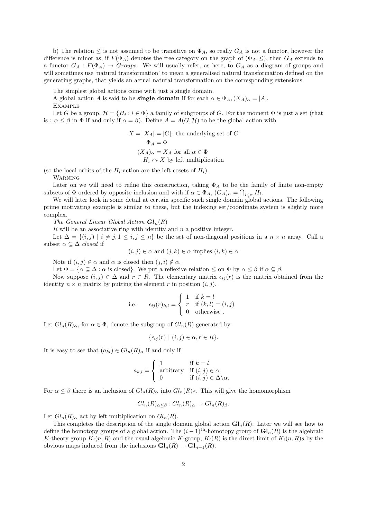b) The relation  $\leq$  is not assumed to be transitive on  $\Phi_A$ , so really  $G_A$  is not a functor, however the difference is minor as, if  $F(\Phi_A)$  denotes the free category on the graph of  $(\Phi_A, \leq)$ , then  $G_A$  extends to a functor  $G_A : F(\Phi_A) \to Groups$ . We will usually refer, as here, to  $G_A$  as a diagram of groups and will sometimes use 'natural transformation' to mean a generalised natural transformation defined on the generating graphs, that yields an actual natural transformation on the corresponding extensions.

The simplest global actions come with just a single domain.

A global action A is said to be **single domain** if for each  $\alpha \in \Phi_A$ ,  $(X_A)_{\alpha} = |A|$ . **EXAMPLE** 

Let G be a group,  $\mathcal{H} = \{H_i : i \in \Phi\}$  a family of subgroups of G. For the moment  $\Phi$  is just a set (that is :  $\alpha \leq \beta$  in  $\Phi$  if and only if  $\alpha = \beta$ ). Define  $A = A(G, \mathcal{H})$  to be the global action with

$$
X = |X_A| = |G|
$$
, the underlying set of  $G$   
\n
$$
\Phi_A = \Phi
$$
  
\n
$$
(X_A)_{\alpha} = X_A \text{ for all } \alpha \in \Phi
$$
  
\n
$$
H_i \curvearrowright X \text{ by left multiplication}
$$

(so the local orbits of the  $H_i$ -action are the left cosets of  $H_i$ ).

**WARNING** 

Later on we will need to refine this construction, taking  $\Phi_A$  to be the family of finite non-empty subsets of  $\Phi$  ordered by opposite inclusion and with if  $\alpha \in \Phi_A$ ,  $(G_A)_{\alpha} = \bigcap_{i \in \alpha} H_i$ .

We will later look in some detail at certain specific such single domain global actions. The following prime motivating example is similar to these, but the indexing set/coordinate system is slightly more complex.

The General Linear Global Action  $Gl_n(R)$ 

 $R$  will be an associative ring with identity and  $n$  a positive integer.

Let  $\Delta = \{(i, j) \mid i \neq j, 1 \leq i, j \leq n\}$  be the set of non-diagonal positions in a  $n \times n$  array. Call a subset  $\alpha \subseteq \Delta$  closed if

 $(i, j) \in \alpha$  and  $(j, k) \in \alpha$  implies  $(i, k) \in \alpha$ 

Note if  $(i, j) \in \alpha$  and  $\alpha$  is closed then  $(j, i) \notin \alpha$ .

Let  $\Phi = {\alpha \subseteq \Delta : \alpha \text{ is closed}}$ . We put a reflexive relation  $\leq$  on  $\Phi$  by  $\alpha \leq \beta$  if  $\alpha \subseteq \beta$ .

Now suppose  $(i, j) \in \Delta$  and  $r \in R$ . The elementary matrix  $\epsilon_{ij}(r)$  is the matrix obtained from the identity  $n \times n$  matrix by putting the element r in position  $(i, j)$ ,

i.e. 
$$
\epsilon_{ij}(r)_{k,l} = \begin{cases} 1 & \text{if } k = l \\ r & \text{if } (k,l) = (i,j) \\ 0 & \text{otherwise} \end{cases}
$$

Let  $Gl_n(R)_{\alpha}$ , for  $\alpha \in \Phi$ , denote the subgroup of  $Gl_n(R)$  generated by

$$
\{\epsilon_{ij}(r) \mid (i,j) \in \alpha, r \in R\}.
$$

It is easy to see that  $(a_{kl}) \in Gl_n(R)_{\alpha}$  if and only if

$$
a_{k,l} = \begin{cases} 1 & \text{if } k = l \\ \text{arbitrary} & \text{if } (i,j) \in \alpha \\ 0 & \text{if } (i,j) \in \Delta \backslash \alpha. \end{cases}
$$

For  $\alpha \leq \beta$  there is an inclusion of  $Gl_n(R)_{\alpha}$  into  $Gl_n(R)_{\beta}$ . This will give the homomorphism

$$
Gl_n(R)_{\alpha \leq \beta}: Gl_n(R)_{\alpha} \to Gl_n(R)_{\beta}.
$$

Let  $Gl_n(R)_{\alpha}$  act by left multiplication on  $Gl_n(R)$ .

This completes the description of the single domain global action  $\mathbf{Gl}_n(R)$ . Later we will see how to define the homotopy groups of a global action. The  $(i-1)$ <sup>th</sup>-homotopy group of  $Gl_n(R)$  is the algebraic K-theory group  $K_i(n, R)$  and the usual algebraic K-group,  $K_i(R)$  is the direct limit of  $K_i(n, R)$ s by the obvious maps induced from the inclusions  $\mathbf{Gl}_n(R) \to \mathbf{Gl}_{n+1}(R)$ .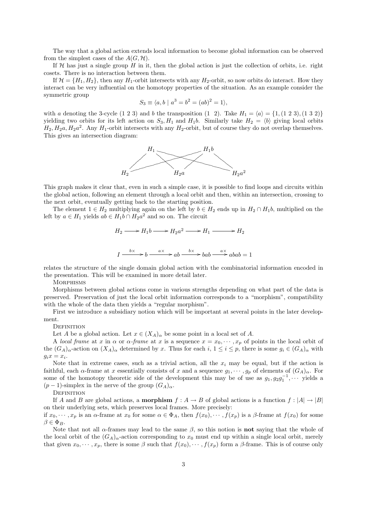The way that a global action extends local information to become global information can be observed from the simplest cases of the  $A(G, H)$ .

If  $H$  has just a single group H in it, then the global action is just the collection of orbits, i.e. right cosets. There is no interaction between them.

If  $\mathcal{H} = \{H_1, H_2\}$ , then any  $H_1$ -orbit intersects with any  $H_2$ -orbit, so now orbits do interact. How they interact can be very influential on the homotopy properties of the situation. As an example consider the symmetric group

$$
S_3 \equiv \langle a, b \mid a^3 = b^2 = (ab)^2 = 1 \rangle,
$$

with a denoting the 3-cycle (1 2 3) and b the transposition (1 2). Take  $H_1 = \langle a \rangle = \{1, (1 \ 2 \ 3), (1 \ 3 \ 2)\}\$ yielding two orbits for its left action on  $S_3$ ,  $H_1$  and  $H_1b$ . Similarly take  $H_2 = \langle b \rangle$  giving local orbits  $H_2, H_2a, H_2a^2$ . Any  $H_1$ -orbit intersects with any  $H_2$ -orbit, but of course they do not overlap themselves. This gives an intersection diagram:



This graph makes it clear that, even in such a simple case, it is possible to find loops and circuits within the global action, following an element through a local orbit and then, within an intersection, crossing to the next orbit, eventually getting back to the starting position.

The element  $1 \in H_2$  multiplying again on the left by  $b \in H_2$  ends up in  $H_2 \cap H_1b$ , multiplied on the left by  $a \in H_1$  yields  $ab \in H_1b \cap H_2a^2$  and so on. The circuit

$$
H_2 \longrightarrow H_1 b \longrightarrow H_2 a^2 \longrightarrow H_1 \longrightarrow H_2
$$
  

$$
I \xrightarrow{b \times} b \xrightarrow{a \times} ab \xrightarrow{b \times} bab \xrightarrow{a \times} abab = 1
$$

relates the structure of the single domain global action with the combinatorial information encoded in the presentation. This will be examined in more detail later.

**MORPHISMS** 

Morphisms between global actions come in various strengths depending on what part of the data is preserved. Preservation of just the local orbit information corresponds to a "morphism", compatibility with the whole of the data then yields a "regular morphism".

First we introduce a subsidiary notion which will be important at several points in the later development.

**DEFINITION** 

Let A be a global action. Let  $x \in (X_A)_\alpha$  be some point in a local set of A.

A local frame at x in  $\alpha$  or  $\alpha$ -frame at x is a sequence  $x = x_0, \dots, x_p$  of points in the local orbit of the  $(G_A)_{\alpha}$ -action on  $(X_A)_{\alpha}$  determined by x. Thus for each  $i, 1 \leq i \leq p$ , there is some  $g_i \in (G_A)_{\alpha}$  with  $g_i x = x_i$ .

Note that in extreme cases, such as a trivial action, all the  $x_i$  may be equal, but if the action is faithful, each  $\alpha$ -frame at x essentially consists of x and a sequence  $g_1, \dots, g_p$  of elements of  $(G_A)_{\alpha}$ . For some of the homotopy theoretic side of the development this may be of use as  $g_1, g_2g_1^{-1}, \cdots$  yields a  $(p-1)$ -simplex in the nerve of the group  $(G_A)_{\alpha}$ .

**DEFINITION** 

If A and B are global actions, a **morphism**  $f : A \to B$  of global actions is a function  $f : |A| \to |B|$ on their underlying sets, which preserves local frames. More precisely:

if  $x_0, \dots, x_p$  is an  $\alpha$ -frame at  $x_0$  for some  $\alpha \in \Phi_A$ , then  $f(x_0), \dots, f(x_p)$  is a  $\beta$ -frame at  $f(x_0)$  for some  $\beta \in \Phi_B$ .

Note that not all  $\alpha$ -frames may lead to the same  $\beta$ , so this notion is **not** saying that the whole of the local orbit of the  $(G_A)_{\alpha}$ -action corresponding to  $x_0$  must end up within a single local orbit, merely that given  $x_0, \dots, x_p$ , there is some  $\beta$  such that  $f(x_0), \dots, f(x_p)$  form a  $\beta$ -frame. This is of course only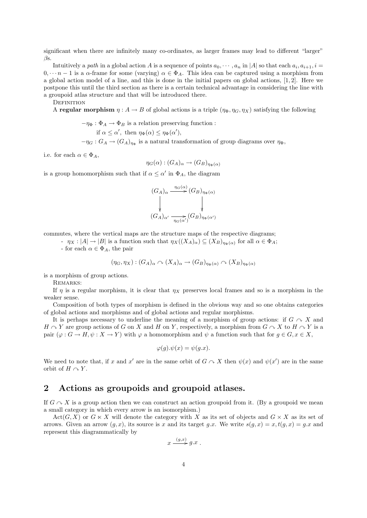significant when there are infinitely many co-ordinates, as larger frames may lead to different "larger"  $\beta$ s.

Intuitively a path in a global action A is a sequence of points  $a_0, \dots, a_n$  in |A| so that each  $a_i, a_{i+1}, i =$  $0, \dots n-1$  is a  $\alpha$ -frame for some (varying)  $\alpha \in \Phi_A$ . This idea can be captured using a morphism from a global action model of a line, and this is done in the initial papers on global actions, [1, 2]. Here we postpone this until the third section as there is a certain technical advantage in considering the line with a groupoid atlas structure and that will be introduced there.

**DEFINITION** 

A regular morphism  $\eta: A \to B$  of global actions is a triple  $(\eta_{\Phi}, \eta_G, \eta_X)$  satisfying the following

 $-\eta_{\Phi} : \Phi_A \to \Phi_B$  is a relation preserving function : if  $\alpha \leq \alpha'$ , then  $\eta_{\Phi}(\alpha) \leq \eta_{\Phi}(\alpha')$ ,  $-\eta_G: G_A \to (G_A)_{\eta_\Phi}$  is a natural transformation of group diagrams over  $\eta_\Phi$ ,

i.e. for each  $\alpha \in \Phi_A$ ,

$$
\eta_G(\alpha) : (G_A)_{\alpha} \to (G_B)_{\eta_{\Phi}(\alpha)}
$$

is a group homomorphism such that if  $\alpha \leq \alpha'$  in  $\Phi_A$ , the diagram

$$
(G_A)_{\alpha} \xrightarrow{\eta_G(\alpha)} (G_B)_{\eta_{\Phi}(\alpha)}
$$
  
\n
$$
(G_A)_{\alpha'} \xrightarrow{\eta_G(\alpha')} (G_B)_{\eta_{\Phi}(\alpha')}
$$

commutes, where the vertical maps are the structure maps of the respective diagrams;

 $- \eta_X : |A| \to |B|$  is a function such that  $\eta_X((X_A)_{\alpha}) \subseteq (X_B)_{\eta_{\Phi}(\alpha)}$  for all  $\alpha \in \Phi_A$ ;

- for each  $\alpha \in \Phi_A$ , the pair

$$
(\eta_G, \eta_X) : (G_A)_{\alpha} \curvearrowright (X_A)_{\alpha} \to (G_B)_{\eta \Phi(\alpha)} \curvearrowright (X_B)_{\eta \Phi(\alpha)}
$$

is a morphism of group actions.

REMARKS:

If  $\eta$  is a regular morphism, it is clear that  $\eta_X$  preserves local frames and so is a morphism in the weaker sense.

Composition of both types of morphism is defined in the obvious way and so one obtains categories of global actions and morphisms and of global actions and regular morphisms.

It is perhaps necessary to underline the meaning of a morphism of group actions: if  $G \curvearrowright X$  and  $H \cap Y$  are group actions of G on X and H on Y, respectively, a morphism from  $G \cap X$  to  $H \cap Y$  is a pair  $(\varphi : G \to H, \psi : X \to Y)$  with  $\varphi$  a homomorphism and  $\psi$  a function such that for  $g \in G, x \in X$ ,

$$
\varphi(g).\psi(x) = \psi(g.x).
$$

We need to note that, if x and x' are in the same orbit of  $G \curvearrowright X$  then  $\psi(x)$  and  $\psi(x')$  are in the same orbit of  $H \curvearrowright Y$ .

## 2 Actions as groupoids and groupoid atlases.

If  $G \cap X$  is a group action then we can construct an action groupoid from it. (By a groupoid we mean a small category in which every arrow is an isomorphism.)

 $\text{Act}(G, X)$  or  $G \ltimes X$  will denote the category with X as its set of objects and  $G \times X$  as its set of arrows. Given an arrow  $(g, x)$ , its source is x and its target g.x. We write  $s(g, x) = x$ ,  $t(g, x) = g.x$  and represent this diagrammatically by

$$
x \xrightarrow{(g,x)} g.x .
$$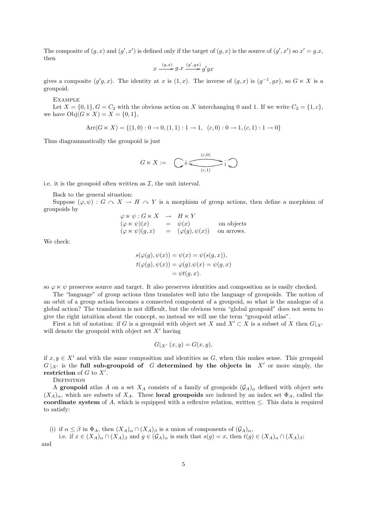The composite of  $(g, x)$  and  $(g', x')$  is defined only if the target of  $(g, x)$  is the source of  $(g', x')$  so  $x' = g.x$ , then

$$
x \xrightarrow{(g,x)} g.x \xrightarrow{(g',gx)} g'gx
$$

gives a composite  $(g'g, x)$ . The identity at x is  $(1, x)$ . The inverse of  $(g, x)$  is  $(g^{-1}, gx)$ , so  $G \ltimes X$  is a groupoid.

Example

Let  $X = \{0, 1\}$ ,  $G = C_2$  with the obvious action on X interchanging 0 and 1. If we write  $C_2 = \{1, c\}$ , we have  $Obj(G \ltimes X) = X = \{0, 1\},\$ 

$$
Arr(G \ltimes X) = \{ (1,0) : 0 \to 0, (1,1) : 1 \to 1, (c,0) : 0 \to 1, (c,1) : 1 \to 0 \}
$$

Thus diagrammatically the groupoid is just

$$
G \ltimes X := \bigcirc \phi \stackrel{(c,0)}{\underbrace{\qquad \qquad}_{(c,1)}} 1 \stackrel{\frown}{\bigcirc}
$$

i.e. it is the groupoid often written as  $\mathcal{I}$ , the unit interval.

Back to the general situation:

Suppose  $(\varphi, \psi) : G \curvearrowright X \to H \curvearrowright Y$  is a morphism of group actions, then define a morphism of groupoids by

$$
\varphi \ltimes \psi : G \ltimes X \rightarrow H \ltimes Y
$$
  
\n
$$
(\varphi \ltimes \psi)(x) = \psi(x)
$$
on objects  
\n
$$
(\varphi \ltimes \psi)(g, x) = (\varphi(g), \psi(x))
$$
on arrows.

We check:

$$
s(\varphi(g), \psi(x)) = \psi(x) = \psi(s(g, x)),
$$
  
\n
$$
t(\varphi(g), \psi(x)) = \varphi(g). \psi(x) = \psi(g, x)
$$
  
\n
$$
= \psi t(g, x).
$$

so  $\varphi \ltimes \psi$  preserves source and target. It also preserves identities and composition as is easily checked.

The "language" of group actions thus translates well into the language of groupoids. The notion of an orbit of a group action becomes a connected component of a groupoid, so what is the analogue of a global action? The translation is not difficult, but the obvious term "global groupoid" does not seem to give the right intuition about the concept, so instead we will use the term "groupoid atlas".

First a bit of notation: if G is a groupoid with object set X and  $X' \subset X$  is a subset of X then  $G|_{X'}$ will denote the groupoid with object set  $X'$  having

$$
G|_{X'}(x,y) = G(x,y),
$$

if  $x, y \in X'$  and with the same composition and identities as G, when this makes sense. This groupoid  $G|_{X'}$  is the full sub-groupoid of G determined by the objects in X' or more simply, the restriction of  $G$  to  $X'$ .

**DEFINITION** 

A groupoid atlas A on a set  $X_A$  consists of a family of groupoids  $(\mathcal{G}_A)_\alpha$  defined with object sets  $(X_A)_{\alpha}$ , which are subsets of  $X_A$ . These **local groupoids** are indexed by an index set  $\Phi_A$ , called the coordinate system of A, which is equipped with a reflexive relation, written  $\leq$ . This data is required to satisfy:

(i) if  $\alpha \leq \beta$  in  $\Phi_A$ , then  $(X_A)_{\alpha} \cap (X_A)_{\beta}$  is a union of components of  $(\mathcal{G}_A)_{\alpha}$ ,

i.e. if  $x \in (X_A)_\alpha \cap (X_A)_\beta$  and  $g \in (\mathcal{G}_A)_\alpha$  is such that  $s(g) = x$ , then  $t(g) \in (X_A)_\alpha \cap (X_A)_\beta$ ; and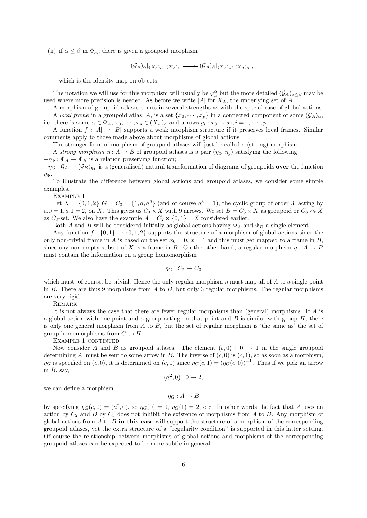(ii) if  $\alpha \leq \beta$  in  $\Phi_A$ , there is given a groupoid morphism

$$
(\mathcal{G}_A)_{\alpha}|_{(X_A)_{\alpha}\cap (X_A)_{\beta}} \longrightarrow (\mathcal{G}_A)_{\beta}|_{(X_A)_{\alpha}\cap (X_A)_{\beta}} ,
$$

which is the identity map on objects.

The notation we will use for this morphism will usually be  $\varphi_\beta^\alpha$  but the more detailed  $(\mathcal{G}_A)_{\alpha\leq\beta}$  may be used where more precision is needed. As before we write |A| for  $X_A$ , the underlying set of A.

A morphism of groupoid atlases comes in several strengths as with the special case of global actions. A local frame in a groupoid atlas, A, is a set  $\{x_0, \dots, x_p\}$  in a connected component of some  $(\mathcal{G}_A)_{\alpha}$ ,

i.e. there is some  $\alpha \in \Phi_A$ ,  $x_0, \dots, x_p \in (X_A)_{\alpha}$  and arrows  $g_i : x_0 \to x_i, i = 1, \dots, p$ .

A function  $f : |A| \to |B|$  supports a weak morphism structure if it preserves local frames. Similar comments apply to those made above about morphisms of global actions.

The stronger form of morphism of groupoid atlases will just be called a (strong) morphism.

A strong morphism  $\eta: A \to B$  of groupoid atlases is a pair  $(\eta_{\Phi}, \eta_g)$  satisfying the following

 $-\eta_{\Phi} : \Phi_A \to \Phi_B$  is a relation preserving function;

 $-\eta_G : \mathcal{G}_A \to (\mathcal{G}_B)_{\eta_{\Phi}}$  is a (generalised) natural transformation of diagrams of groupoids **over** the function  $\eta_{\Phi}$ 

To illustrate the difference between global actions and groupoid atlases, we consider some simple examples.

Example 1

Let  $X = \{0, 1, 2\}$ ,  $G = C_3 = \{1, a, a^2\}$  (and of course  $a^3 = 1$ ), the cyclic group of order 3, acting by  $a.0 = 1, a.1 = 2,$  on X. This gives us  $C_3 \ltimes X$  with 9 arrows. We set  $B = C_3 \ltimes X$  as groupoid or  $C_3 \sim X$ as  $C_3$ -set. We also have the example  $A = C_2 \times \{0, 1\} = \mathcal{I}$  considered earlier.

Both A and B will be considered initially as global actions having  $\Phi_A$  and  $\Phi_B$  a single element.

Any function  $f: \{0,1\} \to \{0,1,2\}$  supports the structure of a morphism of global actions since the only non-trivial frame in A is based on the set  $x_0 = 0$ ,  $x = 1$  and this must get mapped to a frame in B, since any non-empty subset of X is a frame in B. On the other hand, a regular morphism  $\eta : A \to B$ must contain the information on a group homomorphism

$$
\eta_G: C_2 \to C_3
$$

which must, of course, be trivial. Hence the only regular morphism  $\eta$  must map all of A to a single point in B. There are thus 9 morphisms from A to B, but only 3 regular morphisms. The regular morphisms are very rigid.

**REMARK** 

It is not always the case that there are fewer regular morphisms than (general) morphisms. If A is a global action with one point and a group acting on that point and  $B$  is similar with group  $H$ , there is only one general morphism from  $A$  to  $B$ , but the set of regular morphism is 'the same as' the set of group homomorphisms from  $G$  to  $H$ .

EXAMPLE 1 CONTINUED

Now consider A and B as groupoid atlases. The element  $(c, 0) : 0 \rightarrow 1$  in the single groupoid determining A, must be sent to some arrow in B. The inverse of  $(c, 0)$  is  $(c, 1)$ , so as soon as a morphism,  $\eta_G$  is specified on  $(c, 0)$ , it is determined on  $(c, 1)$  since  $\eta_G(c, 1) = (\eta_G(c, 0))^{-1}$ . Thus if we pick an arrow in  $B$ , say,

$$
(a^2,0):0\to 2,
$$

we can define a morphism

#### $\eta_G : A \to B$

by specifying  $\eta_G(c, 0) = (a^2, 0)$ , so  $\eta_G(0) = 0$ ,  $\eta_G(1) = 2$ , etc. In other words the fact that A uses an action by  $C_2$  and B by  $C_3$  does not inhibit the existence of morphisms from A to B. Any morphism of global actions from  $A$  to  $B$  in this case will support the structure of a morphism of the corresponding groupoid atlases, yet the extra structure of a "regularity condition" is supported in this latter setting. Of course the relationship between morphisms of global actions and morphisms of the corresponding groupoid atlases can be expected to be more subtle in general.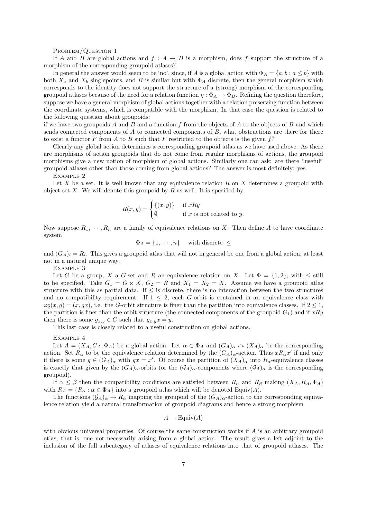PROBLEM/QUESTION 1

If A and B are global actions and  $f : A \to B$  is a morphism, does f support the structure of a morphism of the corresponding groupoid atlases?

In general the answer would seem to be 'no', since, if A is a global action with  $\Phi_A = \{a, b : a \leq b\}$  with both  $X_a$  and  $X_b$  singlepoints, and B is similar but with  $\Phi_A$  discrete, then the general morphism which corresponds to the identity does not support the structure of a (strong) morphism of the corresponding groupoid atlases because of the need for a relation function  $\eta : \Phi_A \to \Phi_B$ . Refining the question therefore, suppose we have a general morphism of global actions together with a relation preserving function between the coordinate systems, which is compatible with the morphism. In that case the question is related to the following question about groupoids:

if we have two groupoids  $A$  and  $B$  and a function  $f$  from the objects of  $A$  to the objects of  $B$  and which sends connected components of  $A$  to connected components of  $B$ , what obstructions are there for there to exist a functor F from A to B such that F restricted to the objects is the given  $f$ ?

Clearly any global action determines a corresponding groupoid atlas as we have used above. As there are morphisms of action groupoids that do not come from regular morphisms of actions, the groupoid morphisms give a new notion of morphism of global actions. Similarly one can ask: are there "useful" groupoid atlases other than those coming from global actions? The answer is most definitely: yes.

Example 2

Let X be a set. It is well known that any equivalence relation  $R$  on  $X$  determines a groupoid with object set  $X$ . We will denote this groupoid by  $R$  as well. It is specified by

$$
R(x, y) = \begin{cases} \{(x, y)\} & \text{if } xRy \\ \emptyset & \text{if } x \text{ is not related to } y. \end{cases}
$$

Now suppose  $R_1, \dots, R_n$  are a family of equivalence relations on X. Then define A to have coordinate system

$$
\Phi_A = \{1, \cdots, n\} \quad \text{with discrete } \le
$$

and  $(G_A)_i = R_i$ . This gives a groupoid atlas that will not in general be one from a global action, at least not in a natural unique way.

Example 3

Let G be a group, X a G-set and R an equivalence relation on X. Let  $\Phi = \{1,2\}$ , with  $\le$  still to be specified. Take  $G_1 = G \ltimes X$ ,  $G_2 = R$  and  $X_1 = X_2 = X$ . Assume we have a groupoid atlas structure with this as partial data. If  $\leq$  is discrete, there is no interaction between the two structures and no compatibility requirement. If  $1 \leq 2$ , each G-orbit is contained in an equivalence class with  $\varphi_2^1(x,g) = (x,gx)$ , i.e. the G-orbit structure is finer than the partition into equivalence classes. If  $2 \leq 1$ , the partition is finer than the orbit structure (the connected components of the groupoid  $G_1$ ) and if  $xRy$ then there is some  $g_{x,y} \in G$  such that  $g_{x,y} x = y$ .

This last case is closely related to a useful construction on global actions.

Example 4

Let  $A = (X_A, G_A, \Phi_A)$  be a global action. Let  $\alpha \in \Phi_A$  and  $(G_A)_{\alpha} \cap (X_A)_{\alpha}$  be the corresponding action. Set  $R_{\alpha}$  to be the equivalence relation determined by the  $(G_A)_{\alpha}$ -action. Thus  $xR_{\alpha}x'$  if and only if there is some  $g \in (G_A)_{\alpha}$  with  $gx = x'$ . Of course the partition of  $(X_A)_{\alpha}$  into  $R_{\alpha}$ -equivalence classes is exactly that given by the  $(G_A)_{\alpha}$ -orbits (or the  $(\mathcal{G}_A)_{\alpha}$ -components where  $(\mathcal{G}_A)_{\alpha}$  is the corresponding groupoid).

If  $\alpha \leq \beta$  then the compatibility conditions are satisfied between  $R_{\alpha}$  and  $R_{\beta}$  making  $(X_A, R_A, \Phi_A)$ with  $R_A = \{R_\alpha : \alpha \in \Phi_A\}$  into a groupoid atlas which will be denoted Equiv(A).

The functions  $(\mathcal{G}_A)_\alpha \to R_\alpha$  mapping the groupoid of the  $(G_A)_\alpha$ -action to the corresponding equivalence relation yield a natural transformation of groupoid diagrams and hence a strong morphism

$$
A \to \text{Equiv}(A)
$$

with obvious universal properties. Of course the same construction works if  $A$  is an arbitrary groupoid atlas, that is, one not necessarily arising from a global action. The result gives a left adjoint to the inclusion of the full subcategory of atlases of equivalence relations into that of groupoid atlases. The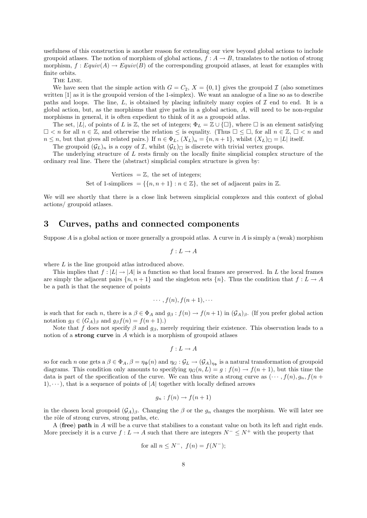usefulness of this construction is another reason for extending our view beyond global actions to include groupoid atlases. The notion of morphism of global actions,  $f : A \to B$ , translates to the notion of strong morphism,  $f : Equiv(A) \to Equiv(B)$  of the corresponding groupoid atlases, at least for examples with finite orbits.

The Line.

We have seen that the simple action with  $G = C_2$ ,  $X = \{0, 1\}$  gives the groupoid I (also sometimes written [1] as it is the groupoid version of the 1-simplex). We want an analogue of a line so as to describe paths and loops. The line,  $L$ , is obtained by placing infinitely many copies of  $\mathcal I$  end to end. It is a global action, but, as the morphisms that give paths in a global action,  $A$ , will need to be non-regular morphisms in general, it is often expedient to think of it as a groupoid atlas.

The set, |L|, of points of L is Z, the set of integers;  $\Phi_L = \mathbb{Z} \cup \{\Box\}$ , where  $\Box$  is an element satisfying  $\Box$  < n for all  $n \in \mathbb{Z}$ , and otherwise the relation  $\leq$  is equality. (Thus  $\Box \leq \Box$ , for all  $n \in \mathbb{Z}$ ,  $\Box$  < n and  $n \leq n$ , but that gives all related pairs.) If  $n \in \Phi_L$ ,  $(X_L)_n = \{n, n+1\}$ , whilst  $(X_L)_{\square} = |L|$  itself.

The groupoid  $(\mathcal{G}_L)_n$  is a copy of  $\mathcal I$ , whilst  $(\mathcal{G}_L)$  is discrete with trivial vertex groups.

The underlying structure of L rests firmly on the locally finite simplicial complex structure of the ordinary real line. There the (abstract) simplicial complex structure is given by:

Vertices  $=\mathbb{Z}$ , the set of integers;

Set of 1-simplices = { $\{n, n+1\} : n \in \mathbb{Z}\}$ , the set of adjacent pairs in  $\mathbb{Z}$ .

We will see shortly that there is a close link between simplicial complexes and this context of global actions/ groupoid atlases.

#### 3 Curves, paths and connected components

Suppose A is a global action or more generally a groupoid atlas. A curve in A is simply a (weak) morphism

$$
f: L \to A
$$

where  $L$  is the line groupoid atlas introduced above.

This implies that  $f : |L| \to |A|$  is a function so that local frames are preserved. In L the local frames are simply the adjacent pairs  $\{n, n+1\}$  and the singleton sets  $\{n\}$ . Thus the condition that  $f: L \to A$ be a path is that the sequence of points

$$
\cdots, f(n), f(n+1), \cdots
$$

is such that for each n, there is a  $\beta \in \Phi_A$  and  $g_\beta : f(n) \to f(n+1)$  in  $(\mathcal{G}_A)_\beta$ . (If you prefer global action notation  $g_{\beta} \in (G_A)_{\beta}$  and  $g_{\beta} f(n) = f(n+1)$ .)

Note that f does not specify  $\beta$  and  $g_{\beta}$ , merely requiring their existence. This observation leads to a notion of a strong curve in A which is a morphism of groupoid atlases

$$
f: L \to A
$$

so for each n one gets a  $\beta \in \Phi_A$ ,  $\beta = \eta_{\Phi}(n)$  and  $\eta_G : \mathcal{G}_L \to (\mathcal{G}_A)_{\eta_{\Phi}}$  is a natural transformation of groupoid diagrams. This condition only amounts to specifying  $\eta_G(n, L) = g : f(n) \to f(n + 1)$ , but this time the data is part of the specification of the curve. We can thus write a strong curve as  $(\cdots, f(n), g_n, f(n +$  $1), \dots$ , that is a sequence of points of |A| together with locally defined arrows

$$
g_n: f(n) \to f(n+1)
$$

in the chosen local groupoid  $(G_A)_{\beta}$ . Changing the  $\beta$  or the  $g_n$  changes the morphism. We will later see the rôle of strong curves, strong paths, etc.

A (free) path in A will be a curve that stabilises to a constant value on both its left and right ends. More precisely it is a curve  $f: L \to A$  such that there are integers  $N^- \leq N^+$  with the property that

for all 
$$
n \leq N^-
$$
,  $f(n) = f(N^-)$ ;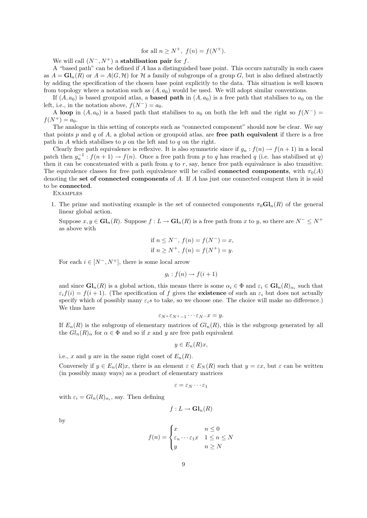for all 
$$
n \ge N^+
$$
,  $f(n) = f(N^+)$ .

We will call  $(N^-, N^+)$  a **stabilisation pair** for f.

A "based path" can be defined if A has a distinguished base point. This occurs naturally in such cases as  $A = \mathbf{Gl}_n(R)$  or  $A = A(G, H)$  for H a family of subgroups of a group G, but is also defined abstractly by adding the specification of the chosen base point explicitly to the data. This situation is well known from topology where a notation such as  $(A, a_0)$  would be used. We will adopt similar conventions.

If  $(A, a_0)$  is based groupoid atlas, a **based path** in  $(A, a_0)$  is a free path that stabilises to  $a_0$  on the left, i.e., in the notation above,  $f(N^-) = a_0$ .

A loop in  $(A, a_0)$  is a based path that stabilises to  $a_0$  on both the left and the right so  $f(N^-)$  =  $f(N^+) = a_0.$ 

The analogue in this setting of concepts such as "connected component" should now be clear. We say that points p and q of A, a global action or groupoid atlas, are free path equivalent if there is a free path in  $A$  which stabilises to  $p$  on the left and to  $q$  on the right.

Clearly free path equivalence is reflexive. It is also symmetric since if  $g_n : f(n) \to f(n+1)$  in a local patch then  $g_n^{-1}: f(n+1) \to f(n)$ . Once a free path from p to q has reached q (i.e. has stabilised at q) then it can be concatenated with a path from  $q$  to  $r$ , say, hence free path equivalence is also transitive. The equivalence classes for free path equivalence will be called **connected components**, with  $\pi_0(A)$ denoting the set of connected components of A. If A has just one connected compent then it is said to be connected.

**EXAMPLES** 

1. The prime and motivating example is the set of connected components  $\pi_0 \mathbf{Gl}_n(R)$  of the general linear global action.

Suppose  $x, y \in Gl_n(R)$ . Suppose  $f: L \to Gl_n(R)$  is a free path from x to y, so there are  $N^- \le N^+$ as above with

if 
$$
n \le N^-
$$
,  $f(n) = f(N^-) = x$ ,  
if  $n \ge N^+$ ,  $f(n) = f(N^+) = y$ .

For each  $i \in [N^-, N^+]$ , there is some local arrow

$$
g_i: f(n) \to f(i+1)
$$

and since  $\mathbf{Gl}_n(R)$  is a global action, this means there is some  $\alpha_i \in \Phi$  and  $\varepsilon_i \in \mathbf{Gl}_n(R)_{\alpha_i}$  such that  $\varepsilon_i f(i) = f(i+1)$ . (The specification of f gives the existence of such an  $\varepsilon_i$  but does not actually specify which of possibly many  $\varepsilon_i$ s to take, so we choose one. The choice will make no difference.) We thus have

$$
\varepsilon_{N^+}\varepsilon_{N^+-1}\cdots\varepsilon_{N^-}x=y.
$$

If  $E_n(R)$  is the subgroup of elementary matrices of  $Gl_n(R)$ , this is the subgroup generated by all the  $Gl_n(R)_{\alpha}$  for  $\alpha \in \Phi$  and so if x and y are free path equivalent

$$
y \in E_n(R)x,
$$

i.e., x and y are in the same right coset of  $E_n(R)$ .

Conversely if  $y \in E_n(R)x$ , there is an element  $\varepsilon \in E_N(R)$  such that  $y = \varepsilon x$ , but  $\varepsilon$  can be written (in possibly many ways) as a product of elementary matrices

$$
\varepsilon=\varepsilon_N\cdots\varepsilon_1
$$

with  $\varepsilon_i = Gl_n(R)_{\alpha_i}$ , say. Then defining

$$
f:L\to {\mathbf G\mathbf l}_n(R)
$$

by

$$
f(n) = \begin{cases} x & n \le 0 \\ \varepsilon_n \cdots \varepsilon_1 x & 1 \le n \le N \\ y & n \ge N \end{cases}
$$